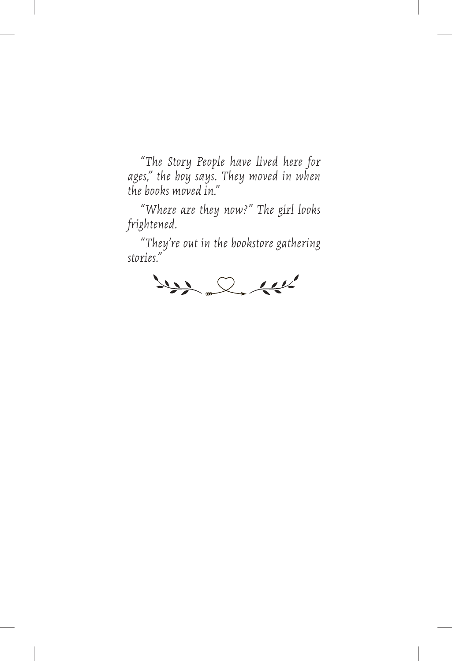*"The Story People have lived here for ages," the boy says. They moved in when the books moved in."*

*"Where are they now?" The girl looks frightened.* 

*"They're out in the bookstore gathering stories."*

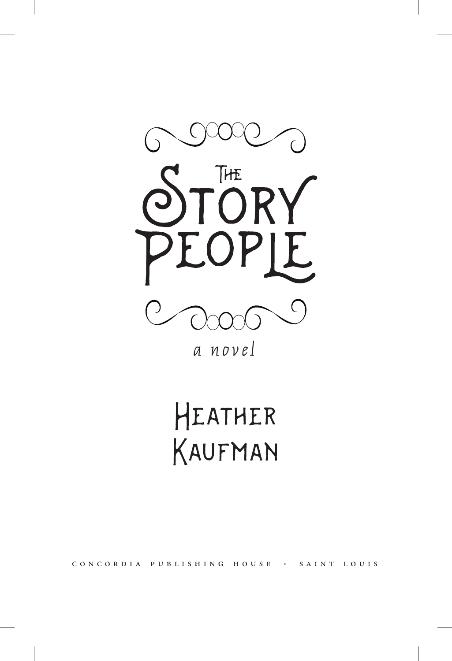



## HEATHER KAUFMAN

CONCORDIA PUBLISHING HOUSE  $\sim 100$  km s  $^{-1}$ SAINT LOUIS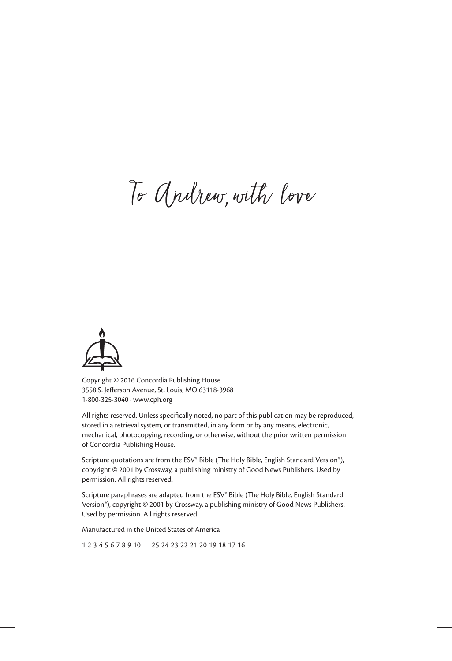To Andrew*,* with love



Copyright © 2016 Concordia Publishing House 3558 S. Jefferson Avenue, St. Louis, MO 63118-3968 1-800-325-3040 · www.cph.org

All rights reserved. Unless specifically noted, no part of this publication may be reproduced, stored in a retrieval system, or transmitted, in any form or by any means, electronic, mechanical, photocopying, recording, or otherwise, without the prior written permission of Concordia Publishing House.

Scripture quotations are from the ESV® Bible (The Holy Bible, English Standard Version®), copyright © 2001 by Crossway, a publishing ministry of Good News Publishers. Used by permission. All rights reserved.

Scripture paraphrases are adapted from the ESV® Bible (The Holy Bible, English Standard Version®), copyright © 2001 by Crossway, a publishing ministry of Good News Publishers. Used by permission. All rights reserved.

Manufactured in the United States of America

1 2 3 4 5 6 7 8 9 10 25 24 23 22 21 20 19 18 17 16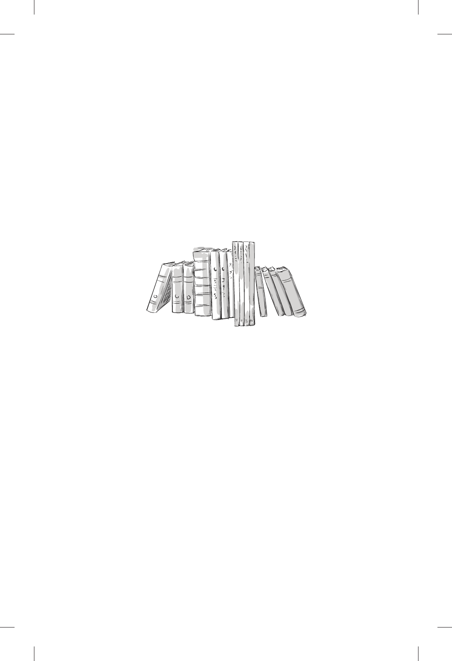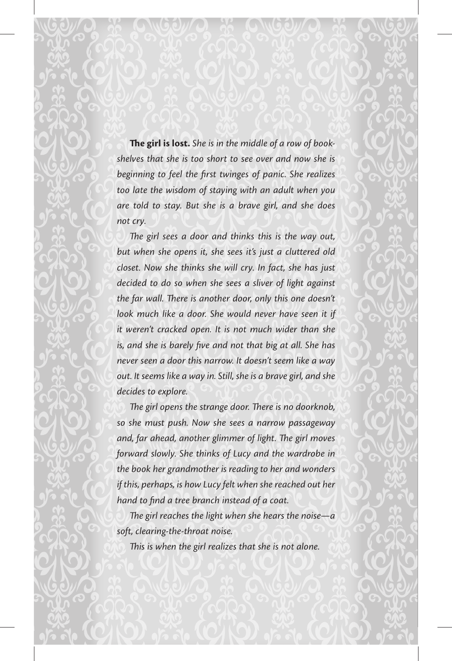**The girl is lost.** *She is in the middle of a row of bookshelves that she is too short to see over and now she is beginning to feel the first twinges of panic. She realizes too late the wisdom of staying with an adult when you are told to stay. But she is a brave girl, and she does not cry.*

*The girl sees a door and thinks this is the way out, but when she opens it, she sees it's just a cluttered old closet. Now she thinks she will cry. In fact, she has just decided to do so when she sees a sliver of light against the far wall. There is another door, only this one doesn't*  look much like a door. She would never have seen it if *it weren't cracked open. It is not much wider than she is, and she is barely five and not that big at all. She has never seen a door this narrow. It doesn't seem like a way out. It seems like a way in. Still, she is a brave girl, and she decides to explore.*

*The girl opens the strange door. There is no doorknob, so she must push. Now she sees a narrow passageway and, far ahead, another glimmer of light. The girl moves forward slowly. She thinks of Lucy and the wardrobe in the book her grandmother is reading to her and wonders if this, perhaps, is how Lucy felt when she reached out her hand to find a tree branch instead of a coat.*

*The girl reaches the light when she hears the noise—a soft, clearing-the-throat noise.*

*This is when the girl realizes that she is not alone.*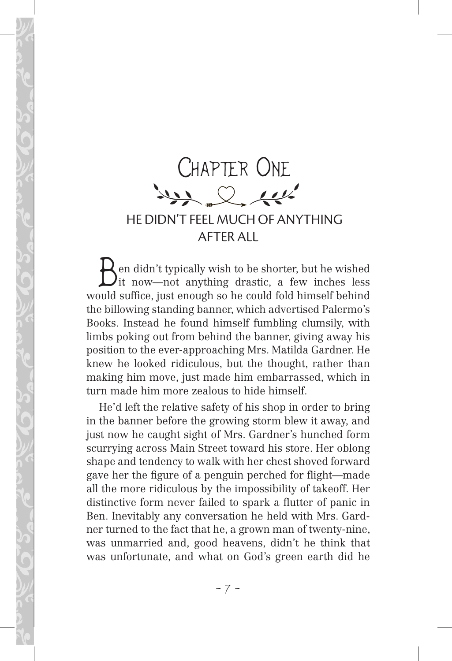

Ben didn't typically wish to be shorter, but he wished it now—not anything drastic, a few inches less would suffice, just enough so he could fold himself behind the billowing standing banner, which advertised Palermo's Books. Instead he found himself fumbling clumsily, with limbs poking out from behind the banner, giving away his position to the ever-approaching Mrs. Matilda Gardner. He knew he looked ridiculous, but the thought, rather than making him move, just made him embarrassed, which in turn made him more zealous to hide himself.

He'd left the relative safety of his shop in order to bring in the banner before the growing storm blew it away, and just now he caught sight of Mrs. Gardner's hunched form scurrying across Main Street toward his store. Her oblong shape and tendency to walk with her chest shoved forward gave her the figure of a penguin perched for flight—made all the more ridiculous by the impossibility of takeoff. Her distinctive form never failed to spark a flutter of panic in Ben. Inevitably any conversation he held with Mrs. Gardner turned to the fact that he, a grown man of twenty-nine, was unmarried and, good heavens, didn't he think that was unfortunate, and what on God's green earth did he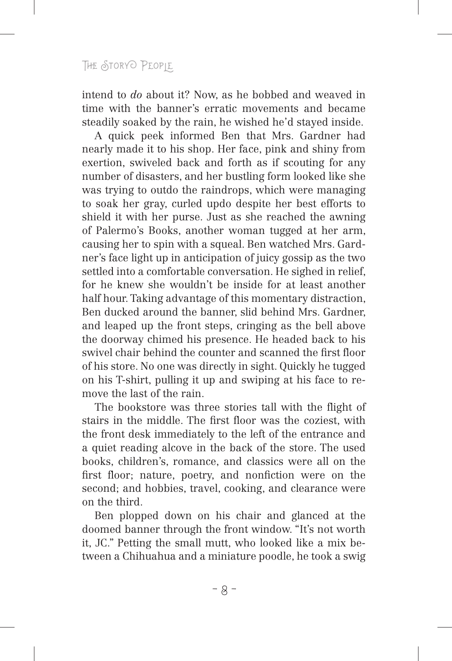intend to *do* about it? Now, as he bobbed and weaved in time with the banner's erratic movements and became steadily soaked by the rain, he wished he'd stayed inside.

A quick peek informed Ben that Mrs. Gardner had nearly made it to his shop. Her face, pink and shiny from exertion, swiveled back and forth as if scouting for any number of disasters, and her bustling form looked like she was trying to outdo the raindrops, which were managing to soak her gray, curled updo despite her best efforts to shield it with her purse. Just as she reached the awning of Palermo's Books, another woman tugged at her arm, causing her to spin with a squeal. Ben watched Mrs. Gardner's face light up in anticipation of juicy gossip as the two settled into a comfortable conversation. He sighed in relief, for he knew she wouldn't be inside for at least another half hour. Taking advantage of this momentary distraction, Ben ducked around the banner, slid behind Mrs. Gardner, and leaped up the front steps, cringing as the bell above the doorway chimed his presence. He headed back to his swivel chair behind the counter and scanned the first floor of his store. No one was directly in sight. Quickly he tugged on his T-shirt, pulling it up and swiping at his face to remove the last of the rain.

The bookstore was three stories tall with the flight of stairs in the middle. The first floor was the coziest, with the front desk immediately to the left of the entrance and a quiet reading alcove in the back of the store. The used books, children's, romance, and classics were all on the first floor; nature, poetry, and nonfiction were on the second; and hobbies, travel, cooking, and clearance were on the third.

Ben plopped down on his chair and glanced at the doomed banner through the front window. "It's not worth it, JC." Petting the small mutt, who looked like a mix between a Chihuahua and a miniature poodle, he took a swig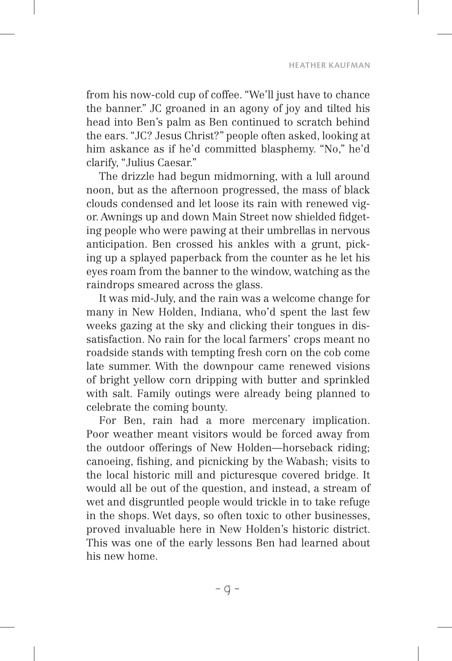from his now-cold cup of coffee. "We'll just have to chance the banner." JC groaned in an agony of joy and tilted his head into Ben's palm as Ben continued to scratch behind the ears. "JC? Jesus Christ?" people often asked, looking at him askance as if he'd committed blasphemy. "No," he'd clarify, "Julius Caesar."

The drizzle had begun midmorning, with a lull around noon, but as the afternoon progressed, the mass of black clouds condensed and let loose its rain with renewed vigor. Awnings up and down Main Street now shielded fidgeting people who were pawing at their umbrellas in nervous anticipation. Ben crossed his ankles with a grunt, picking up a splayed paperback from the counter as he let his eyes roam from the banner to the window, watching as the raindrops smeared across the glass.

It was mid-July, and the rain was a welcome change for many in New Holden, Indiana, who'd spent the last few weeks gazing at the sky and clicking their tongues in dissatisfaction. No rain for the local farmers' crops meant no roadside stands with tempting fresh corn on the cob come late summer. With the downpour came renewed visions of bright yellow corn dripping with butter and sprinkled with salt. Family outings were already being planned to celebrate the coming bounty.

For Ben, rain had a more mercenary implication. Poor weather meant visitors would be forced away from the outdoor offerings of New Holden—horseback riding; canoeing, fishing, and picnicking by the Wabash; visits to the local historic mill and picturesque covered bridge. It would all be out of the question, and instead, a stream of wet and disgruntled people would trickle in to take refuge in the shops. Wet days, so often toxic to other businesses, proved invaluable here in New Holden's historic district. This was one of the early lessons Ben had learned about his new home.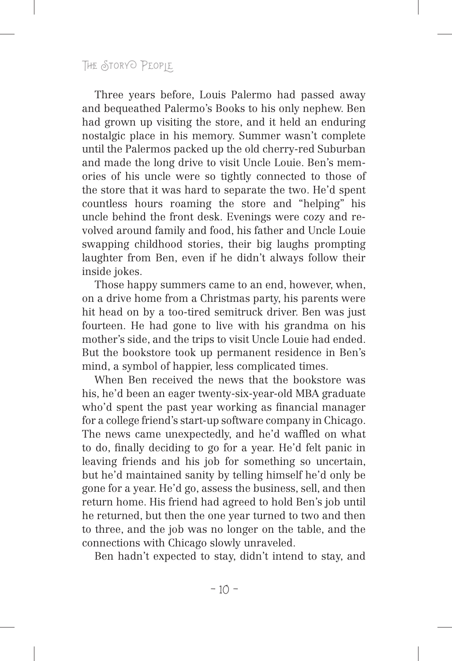Three years before, Louis Palermo had passed away and bequeathed Palermo's Books to his only nephew. Ben had grown up visiting the store, and it held an enduring nostalgic place in his memory. Summer wasn't complete until the Palermos packed up the old cherry-red Suburban and made the long drive to visit Uncle Louie. Ben's memories of his uncle were so tightly connected to those of the store that it was hard to separate the two. He'd spent countless hours roaming the store and "helping" his uncle behind the front desk. Evenings were cozy and revolved around family and food, his father and Uncle Louie swapping childhood stories, their big laughs prompting laughter from Ben, even if he didn't always follow their inside jokes.

Those happy summers came to an end, however, when, on a drive home from a Christmas party, his parents were hit head on by a too-tired semitruck driver. Ben was just fourteen. He had gone to live with his grandma on his mother's side, and the trips to visit Uncle Louie had ended. But the bookstore took up permanent residence in Ben's mind, a symbol of happier, less complicated times.

When Ben received the news that the bookstore was his, he'd been an eager twenty-six-year-old MBA graduate who'd spent the past year working as financial manager for a college friend's start-up software company in Chicago. The news came unexpectedly, and he'd waffled on what to do, finally deciding to go for a year. He'd felt panic in leaving friends and his job for something so uncertain, but he'd maintained sanity by telling himself he'd only be gone for a year. He'd go, assess the business, sell, and then return home. His friend had agreed to hold Ben's job until he returned, but then the one year turned to two and then to three, and the job was no longer on the table, and the connections with Chicago slowly unraveled.

Ben hadn't expected to stay, didn't intend to stay, and